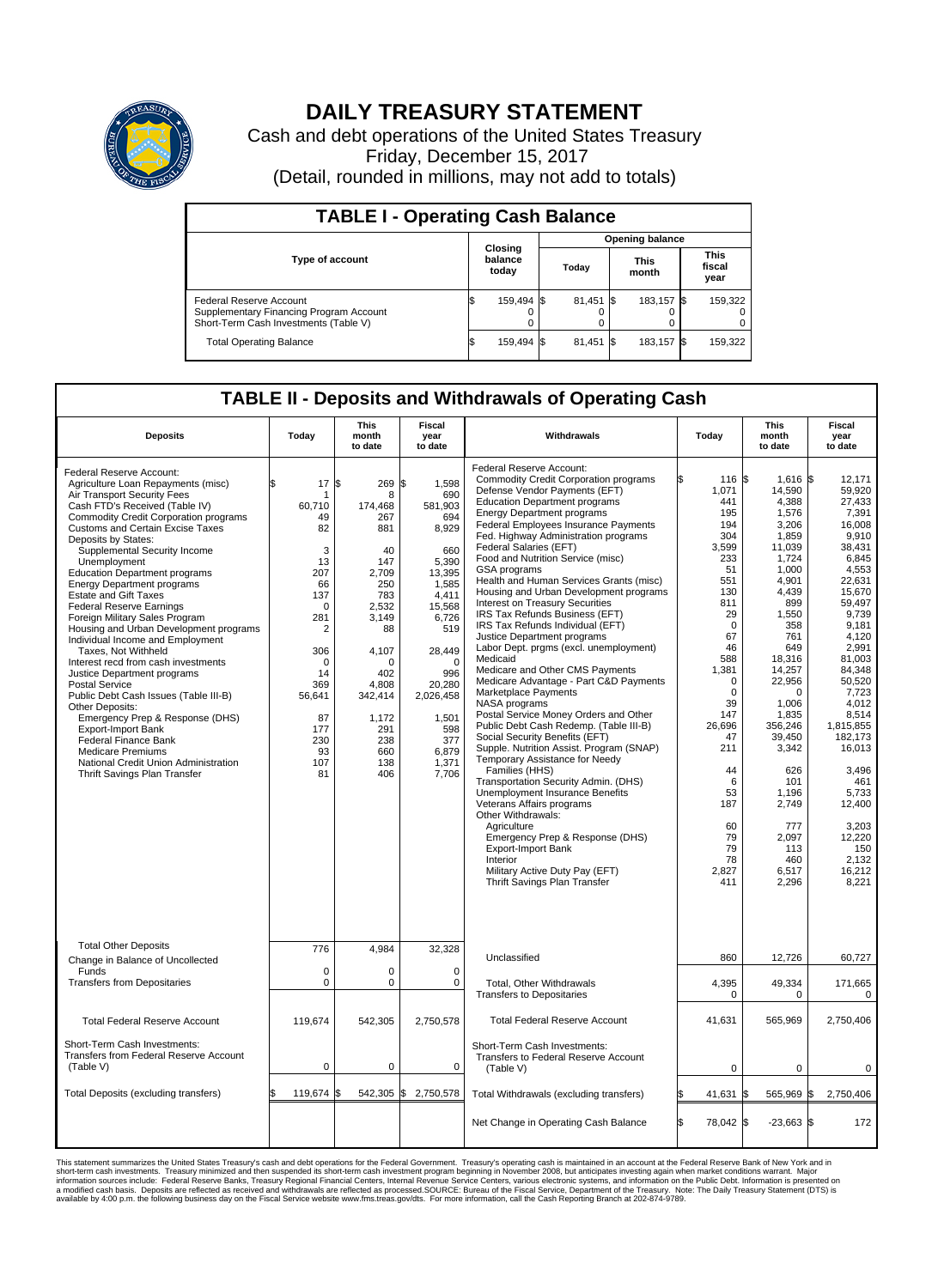

## **DAILY TREASURY STATEMENT**

Cash and debt operations of the United States Treasury Friday, December 15, 2017 (Detail, rounded in millions, may not add to totals)

| <b>TABLE I - Operating Cash Balance</b>                                                                     |  |                             |  |                        |                      |            |                               |         |  |
|-------------------------------------------------------------------------------------------------------------|--|-----------------------------|--|------------------------|----------------------|------------|-------------------------------|---------|--|
|                                                                                                             |  | Closing<br>balance<br>today |  | <b>Opening balance</b> |                      |            |                               |         |  |
| <b>Type of account</b>                                                                                      |  |                             |  | Today                  | <b>This</b><br>month |            | <b>This</b><br>fiscal<br>year |         |  |
| Federal Reserve Account<br>Supplementary Financing Program Account<br>Short-Term Cash Investments (Table V) |  | 159,494 \$                  |  | 81,451 \$              |                      | 183.157 \$ |                               | 159,322 |  |
| <b>Total Operating Balance</b>                                                                              |  | 159,494 \$                  |  | $81,451$ \$            |                      | 183,157 \$ |                               | 159,322 |  |

## **TABLE II - Deposits and Withdrawals of Operating Cash**

| <b>Deposits</b>                                                                                                                                                                                                                                                                                                                                                                                                                                                                                                                                                                                                                                                                                                                                                                                                                                                                                                                                        | Today                                                                                                                                                                                       | <b>This</b><br>month<br>to date                                                                                                                                                                 | <b>Fiscal</b><br>year<br>to date                                                                                                                                                                                          | Withdrawals                                                                                                                                                                                                                                                                                                                                                                                                                                                                                                                                                                                                                                                                                                                                                                                                                                                                                                                                                                                                                                                                                                                                                                                                                                                                           | Today                                                                                                                                                                                                                                                                     | <b>This</b><br>month<br>to date                                                                                                                                                                                                                                                                                       | Fiscal<br>year<br>to date                                                                                                                                                                                                                                                                                                                |
|--------------------------------------------------------------------------------------------------------------------------------------------------------------------------------------------------------------------------------------------------------------------------------------------------------------------------------------------------------------------------------------------------------------------------------------------------------------------------------------------------------------------------------------------------------------------------------------------------------------------------------------------------------------------------------------------------------------------------------------------------------------------------------------------------------------------------------------------------------------------------------------------------------------------------------------------------------|---------------------------------------------------------------------------------------------------------------------------------------------------------------------------------------------|-------------------------------------------------------------------------------------------------------------------------------------------------------------------------------------------------|---------------------------------------------------------------------------------------------------------------------------------------------------------------------------------------------------------------------------|---------------------------------------------------------------------------------------------------------------------------------------------------------------------------------------------------------------------------------------------------------------------------------------------------------------------------------------------------------------------------------------------------------------------------------------------------------------------------------------------------------------------------------------------------------------------------------------------------------------------------------------------------------------------------------------------------------------------------------------------------------------------------------------------------------------------------------------------------------------------------------------------------------------------------------------------------------------------------------------------------------------------------------------------------------------------------------------------------------------------------------------------------------------------------------------------------------------------------------------------------------------------------------------|---------------------------------------------------------------------------------------------------------------------------------------------------------------------------------------------------------------------------------------------------------------------------|-----------------------------------------------------------------------------------------------------------------------------------------------------------------------------------------------------------------------------------------------------------------------------------------------------------------------|------------------------------------------------------------------------------------------------------------------------------------------------------------------------------------------------------------------------------------------------------------------------------------------------------------------------------------------|
| Federal Reserve Account:<br>Agriculture Loan Repayments (misc)<br>Air Transport Security Fees<br>Cash FTD's Received (Table IV)<br><b>Commodity Credit Corporation programs</b><br><b>Customs and Certain Excise Taxes</b><br>Deposits by States:<br>Supplemental Security Income<br>Unemployment<br><b>Education Department programs</b><br><b>Energy Department programs</b><br><b>Estate and Gift Taxes</b><br><b>Federal Reserve Earnings</b><br>Foreign Military Sales Program<br>Housing and Urban Development programs<br>Individual Income and Employment<br>Taxes, Not Withheld<br>Interest recd from cash investments<br>Justice Department programs<br><b>Postal Service</b><br>Public Debt Cash Issues (Table III-B)<br>Other Deposits:<br>Emergency Prep & Response (DHS)<br><b>Export-Import Bank</b><br><b>Federal Finance Bank</b><br><b>Medicare Premiums</b><br>National Credit Union Administration<br>Thrift Savings Plan Transfer | 17<br>\$<br>1<br>60,710<br>49<br>82<br>3<br>13<br>207<br>66<br>137<br>$\mathbf 0$<br>281<br>$\overline{2}$<br>306<br>$\Omega$<br>14<br>369<br>56,641<br>87<br>177<br>230<br>93<br>107<br>81 | \$<br>269<br>8<br>174,468<br>267<br>881<br>40<br>147<br>2,709<br>250<br>783<br>2,532<br>3,149<br>88<br>4,107<br>$\Omega$<br>402<br>4,808<br>342,414<br>1,172<br>291<br>238<br>660<br>138<br>406 | 1,598<br>\$<br>690<br>581,903<br>694<br>8,929<br>660<br>5,390<br>13,395<br>1,585<br>4.411<br>15,568<br>6,726<br>519<br>28,449<br>$\Omega$<br>996<br>20,280<br>2,026,458<br>1,501<br>598<br>377<br>6,879<br>1,371<br>7,706 | Federal Reserve Account:<br><b>Commodity Credit Corporation programs</b><br>Defense Vendor Payments (EFT)<br><b>Education Department programs</b><br><b>Energy Department programs</b><br><b>Federal Employees Insurance Payments</b><br>Fed. Highway Administration programs<br>Federal Salaries (EFT)<br>Food and Nutrition Service (misc)<br>GSA programs<br>Health and Human Services Grants (misc)<br>Housing and Urban Development programs<br>Interest on Treasury Securities<br>IRS Tax Refunds Business (EFT)<br>IRS Tax Refunds Individual (EFT)<br>Justice Department programs<br>Labor Dept. prgms (excl. unemployment)<br>Medicaid<br>Medicare and Other CMS Payments<br>Medicare Advantage - Part C&D Payments<br>Marketplace Payments<br>NASA programs<br>Postal Service Money Orders and Other<br>Public Debt Cash Redemp. (Table III-B)<br>Social Security Benefits (EFT)<br>Supple. Nutrition Assist. Program (SNAP)<br>Temporary Assistance for Needy<br>Families (HHS)<br>Transportation Security Admin. (DHS)<br>Unemployment Insurance Benefits<br>Veterans Affairs programs<br>Other Withdrawals:<br>Agriculture<br>Emergency Prep & Response (DHS)<br><b>Export-Import Bank</b><br>Interior<br>Military Active Duty Pay (EFT)<br>Thrift Savings Plan Transfer | 116 \$<br>1,071<br>441<br>195<br>194<br>304<br>3,599<br>233<br>51<br>551<br>130<br>811<br>29<br>$\mathbf 0$<br>67<br>46<br>588<br>1,381<br>$\mathbf 0$<br>$\mathbf 0$<br>39<br>147<br>26,696<br>47<br>211<br>44<br>6<br>53<br>187<br>60<br>79<br>79<br>78<br>2,827<br>411 | $1,616$ \$<br>14,590<br>4,388<br>1,576<br>3.206<br>1,859<br>11,039<br>1,724<br>1.000<br>4,901<br>4,439<br>899<br>1,550<br>358<br>761<br>649<br>18,316<br>14,257<br>22,956<br>$\Omega$<br>1,006<br>1,835<br>356,246<br>39,450<br>3,342<br>626<br>101<br>1,196<br>2,749<br>777<br>2,097<br>113<br>460<br>6,517<br>2,296 | 12.171<br>59.920<br>27.433<br>7,391<br>16.008<br>9,910<br>38.431<br>6,845<br>4,553<br>22,631<br>15,670<br>59.497<br>9,739<br>9.181<br>4.120<br>2,991<br>81,003<br>84,348<br>50.520<br>7,723<br>4.012<br>8,514<br>1,815,855<br>182,173<br>16,013<br>3,496<br>461<br>5,733<br>12,400<br>3.203<br>12.220<br>150<br>2,132<br>16,212<br>8,221 |
| <b>Total Other Deposits</b><br>Change in Balance of Uncollected<br>Funds                                                                                                                                                                                                                                                                                                                                                                                                                                                                                                                                                                                                                                                                                                                                                                                                                                                                               | 776<br>$\mathbf 0$                                                                                                                                                                          | 4.984<br>0                                                                                                                                                                                      | 32,328<br>0                                                                                                                                                                                                               | Unclassified                                                                                                                                                                                                                                                                                                                                                                                                                                                                                                                                                                                                                                                                                                                                                                                                                                                                                                                                                                                                                                                                                                                                                                                                                                                                          | 860                                                                                                                                                                                                                                                                       | 12,726                                                                                                                                                                                                                                                                                                                | 60,727                                                                                                                                                                                                                                                                                                                                   |
| <b>Transfers from Depositaries</b>                                                                                                                                                                                                                                                                                                                                                                                                                                                                                                                                                                                                                                                                                                                                                                                                                                                                                                                     | $\mathbf 0$                                                                                                                                                                                 | 0                                                                                                                                                                                               | $\mathbf 0$                                                                                                                                                                                                               | Total, Other Withdrawals<br><b>Transfers to Depositaries</b>                                                                                                                                                                                                                                                                                                                                                                                                                                                                                                                                                                                                                                                                                                                                                                                                                                                                                                                                                                                                                                                                                                                                                                                                                          | 4,395<br>0                                                                                                                                                                                                                                                                | 49,334<br>0                                                                                                                                                                                                                                                                                                           | 171,665<br>0                                                                                                                                                                                                                                                                                                                             |
| <b>Total Federal Reserve Account</b>                                                                                                                                                                                                                                                                                                                                                                                                                                                                                                                                                                                                                                                                                                                                                                                                                                                                                                                   | 119,674                                                                                                                                                                                     | 542,305                                                                                                                                                                                         | 2,750,578                                                                                                                                                                                                                 | <b>Total Federal Reserve Account</b>                                                                                                                                                                                                                                                                                                                                                                                                                                                                                                                                                                                                                                                                                                                                                                                                                                                                                                                                                                                                                                                                                                                                                                                                                                                  | 41,631                                                                                                                                                                                                                                                                    | 565,969                                                                                                                                                                                                                                                                                                               | 2,750,406                                                                                                                                                                                                                                                                                                                                |
| Short-Term Cash Investments:<br>Transfers from Federal Reserve Account<br>(Table V)                                                                                                                                                                                                                                                                                                                                                                                                                                                                                                                                                                                                                                                                                                                                                                                                                                                                    | $\mathbf 0$                                                                                                                                                                                 | 0                                                                                                                                                                                               | 0                                                                                                                                                                                                                         | Short-Term Cash Investments:<br>Transfers to Federal Reserve Account<br>(Table V)                                                                                                                                                                                                                                                                                                                                                                                                                                                                                                                                                                                                                                                                                                                                                                                                                                                                                                                                                                                                                                                                                                                                                                                                     | $\mathbf 0$                                                                                                                                                                                                                                                               | 0                                                                                                                                                                                                                                                                                                                     | $\mathbf 0$                                                                                                                                                                                                                                                                                                                              |
| Total Deposits (excluding transfers)                                                                                                                                                                                                                                                                                                                                                                                                                                                                                                                                                                                                                                                                                                                                                                                                                                                                                                                   | \$<br>119,674                                                                                                                                                                               | 542,305 \$<br>ß.                                                                                                                                                                                | 2,750,578                                                                                                                                                                                                                 | Total Withdrawals (excluding transfers)                                                                                                                                                                                                                                                                                                                                                                                                                                                                                                                                                                                                                                                                                                                                                                                                                                                                                                                                                                                                                                                                                                                                                                                                                                               | 41,631                                                                                                                                                                                                                                                                    | 565,969 \$<br><b>S</b>                                                                                                                                                                                                                                                                                                | 2,750,406                                                                                                                                                                                                                                                                                                                                |
|                                                                                                                                                                                                                                                                                                                                                                                                                                                                                                                                                                                                                                                                                                                                                                                                                                                                                                                                                        |                                                                                                                                                                                             |                                                                                                                                                                                                 |                                                                                                                                                                                                                           | Net Change in Operating Cash Balance                                                                                                                                                                                                                                                                                                                                                                                                                                                                                                                                                                                                                                                                                                                                                                                                                                                                                                                                                                                                                                                                                                                                                                                                                                                  | ß.<br>78,042 \$                                                                                                                                                                                                                                                           | $-23,663$ \$                                                                                                                                                                                                                                                                                                          | 172                                                                                                                                                                                                                                                                                                                                      |

This statement summarizes the United States Treasury's cash and debt operations for the Federal Government. Treasury soperating in November 2008, but anticiarded in a cocount at the Federal Reserve Bank of New York and in<br>